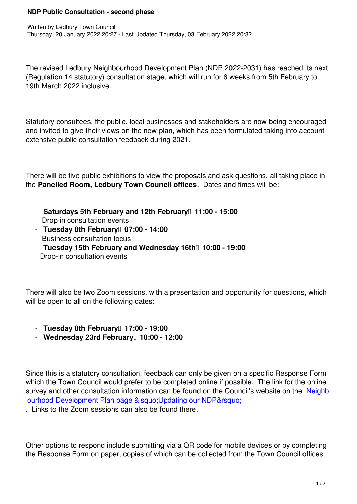Written by Ledbury Town Council and the Ledbury Town Council and the Ledbury Town Council and the Ledbury Town Council and the Ledbury Town Council and the Ledbury Town Council and the Ledbury Town Council and the Ledbury

The revised Ledbury Neighbourhood Development Plan (NDP 2022-2031) has reached its next (Regulation 14 statutory) consultation stage, which will run for 6 weeks from 5th February to 19th March 2022 inclusive.

Statutory consultees, the public, local businesses and stakeholders are now being encouraged and invited to give their views on the new plan, which has been formulated taking into account extensive public consultation feedback during 2021.

There will be five public exhibitions to view the proposals and ask questions, all taking place in the **Panelled Room, Ledbury Town Council offices**. Dates and times will be:

- Saturdays 5th February and 12th February<sup>1</sup> 11:00 15:00 Drop in consultation events
- **Tuesday 8th February** 07:00 14:00 Business consultation focus
- **Tuesday 15th February and Wednesday 16th** 10:00 19:00 Drop-in consultation events

There will also be two Zoom sessions, with a presentation and opportunity for questions, which will be open to all on the following dates:

- **Tuesday 8th February 17:00 19:00**
- **Wednesday 23rd February 10:00 12:00**

Since this is a statutory consultation, feedback can only be given on a specific Response Form which the Town Council would prefer to be completed online if possible. The link for the online survey and other consultation information can be found on the Council's website on the Neighb ourhood Development Plan page ' Updating our NDP'

. Links to the Zoom sessions can also be found there.

Other options to respond include submitting via a QR code for mobile devices or by completing the Response Form on paper, copies of which can be collected from the Town Council offices